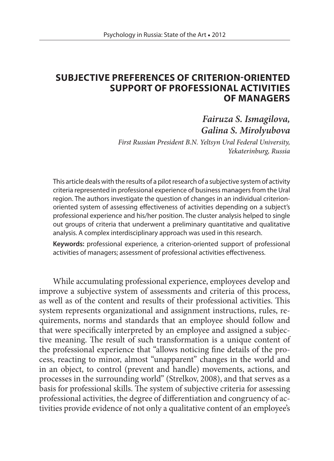# **Subjective Preferences of Criterion-Oriented Support of Professional Activities of Managers**

*Fairuza S. Ismagilova, Galina S. Mirolyubova* 

*First Russian President B.N. Yeltsyn Ural Federal University, Yekaterinburg, Russia*

This article deals with the results of a pilot research of a subjective system of activity criteria represented in professional experience of business managers from the Ural region. The authors investigate the question of changes in an individual criterionoriented system of assessing effectiveness of activities depending on a subject's professional experience and his/her position. The cluster analysis helped to single out groups of criteria that underwent a preliminary quantitative and qualitative analysis. A complex interdisciplinary approach was used in this research.

**Keywords:** professional experience, a criterion-oriented support of professional activities of managers; assessment of professional activities effectiveness.

While accumulating professional experience, employees develop and improve a subjective system of assessments and criteria of this process, as well as of the content and results of their professional activities. This system represents organizational and assignment instructions, rules, requirements, norms and standards that an employee should follow and that were specifically interpreted by an employee and assigned a subjective meaning. The result of such transformation is a unique content of the professional experience that "allows noticing fine details of the process, reacting to minor, almost "unapparent" changes in the world and in an object, to control (prevent and handle) movements, actions, and processes in the surrounding world" (Strelkov, 2008), and that serves as a basis for professional skills. The system of subjective criteria for assessing professional activities, the degree of differentiation and congruency of activities provide evidence of not only a qualitative content of an employee's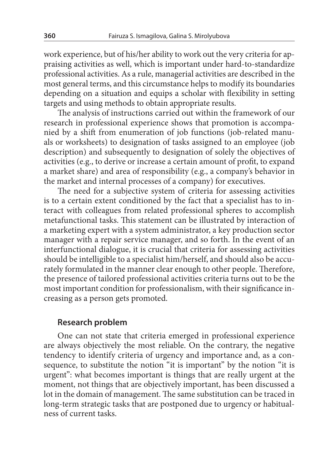work experience, but of his/her ability to work out the very criteria for appraising activities as well, which is important under hard-to-standardize professional activities. As a rule, managerial activities are described in the most general terms, and this circumstance helps to modify its boundaries depending on a situation and equips a scholar with flexibility in setting targets and using methods to obtain appropriate results.

The analysis of instructions carried out within the framework of our research in professional experience shows that promotion is accompanied by a shift from enumeration of job functions (job-related manuals or worksheets) to designation of tasks assigned to an employee (job description) and subsequently to designation of solely the objectives of activities (e.g., to derive or increase a certain amount of profit, to expand a market share) and area of responsibility (e.g., a company's behavior in the market and internal processes of a company) for executives.

The need for a subjective system of criteria for assessing activities is to a certain extent conditioned by the fact that a specialist has to interact with colleagues from related professional spheres to accomplish metafunctional tasks. This statement can be illustrated by interaction of a marketing expert with a system administrator, a key production sector manager with a repair service manager, and so forth. In the event of an interfunctional dialogue, it is crucial that criteria for assessing activities should be intelligible to a specialist him/herself, and should also be accurately formulated in the manner clear enough to other people. Therefore, the presence of tailored professional activities criteria turns out to be the most important condition for professionalism, with their significance increasing as a person gets promoted.

#### **Research problem**

One can not state that criteria emerged in professional experience are always objectively the most reliable. On the contrary, the negative tendency to identify criteria of urgency and importance and, as a consequence, to substitute the notion "it is important" by the notion "it is urgent": what becomes important is things that are really urgent at the moment, not things that are objectively important, has been discussed a lot in the domain of management. The same substitution can be traced in long-term strategic tasks that are postponed due to urgency or habitualness of current tasks.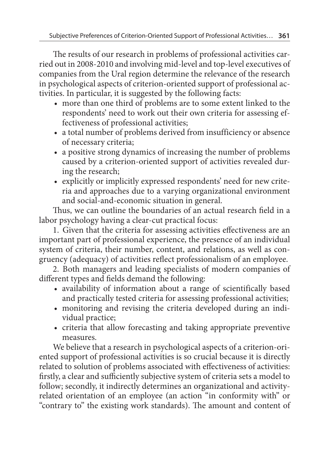The results of our research in problems of professional activities carried out in 2008-2010 and involving mid-level and top-level executives of companies from the Ural region determine the relevance of the research in psychological aspects of criterion-oriented support of professional activities. In particular, it is suggested by the following facts:

- more than one third of problems are to some extent linked to the respondents' need to work out their own criteria for assessing effectiveness of professional activities;
- a total number of problems derived from insufficiency or absence of necessary criteria;
- a positive strong dynamics of increasing the number of problems caused by a criterion-oriented support of activities revealed during the research;
- • explicitly or implicitly expressed respondents' need for new criteria and approaches due to a varying organizational environment and social-and-economic situation in general.

Thus, we can outline the boundaries of an actual research field in a labor psychology having a clear-cut practical focus:

1. Given that the criteria for assessing activities effectiveness are an important part of professional experience, the presence of an individual system of criteria, their number, content, and relations, as well as congruency (adequacy) of activities reflect professionalism of an employee.

2. Both managers and leading specialists of modern companies of different types and fields demand the following:

- • availability of information about a range of scientifically based and practically tested criteria for assessing professional activities;
- • monitoring and revising the criteria developed during an individual practice;
- • criteria that allow forecasting and taking appropriate preventive measures.

We believe that a research in psychological aspects of a criterion-oriented support of professional activities is so crucial because it is directly related to solution of problems associated with effectiveness of activities: firstly, a clear and sufficiently subjective system of criteria sets a model to follow; secondly, it indirectly determines an organizational and activityrelated orientation of an employee (an action "in conformity with" or "contrary to" the existing work standards). The amount and content of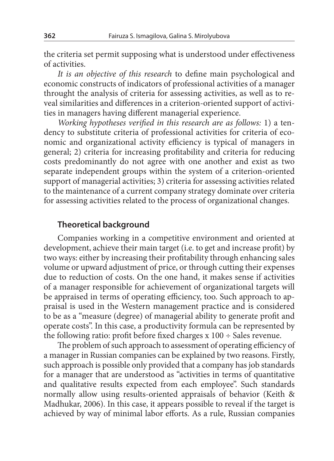the criteria set permit supposing what is understood under effectiveness of activities.

*It is an objective of this research* to define main psychological and economic constructs of indicators of professional activities of a manager throught the analysis of criteria for assessing activities, as well as to reveal similarities and differences in a criterion-oriented support of activities in managers having different managerial experience.

*Working hypotheses verified in this research are as follows:* 1) a tendency to substitute criteria of professional activities for criteria of economic and organizational activity efficiency is typical of managers in general; 2) criteria for increasing profitability and criteria for reducing costs predominantly do not agree with one another and exist as two separate independent groups within the system of a criterion-oriented support of managerial activities; 3) criteria for assessing activities related to the maintenance of a current company strategy dominate over criteria for assessing activities related to the process of organizational changes.

#### **Theoretical background**

Companies working in a competitive environment and oriented at development, achieve their main target (i.e. to get and increase profit) by two ways: either by increasing their profitability through enhancing sales volume or upward adjustment of price, or through cutting their expenses due to reduction of costs. On the one hand, it makes sense if activities of a manager responsible for achievement of organizational targets will be appraised in terms of operating efficiency, too. Such approach to appraisal is used in the Western management practice and is considered to be as a "measure (degree) of managerial ability to generate profit and operate costs". In this case, a productivity formula can be represented by the following ratio: profit before fixed charges  $x 100 \div$  Sales revenue.

The problem of such approach to assessment of operating efficiency of a manager in Russian companies can be explained by two reasons. Firstly, such approach is possible only provided that a company has job standards for a manager that are understood as "activities in terms of quantitative and qualitative results expected from each employee". Such standards normally allow using results-oriented appraisals of behavior (Keith & Madhukar, 2006). In this case, it appears possible to reveal if the target is achieved by way of minimal labor efforts. As a rule, Russian companies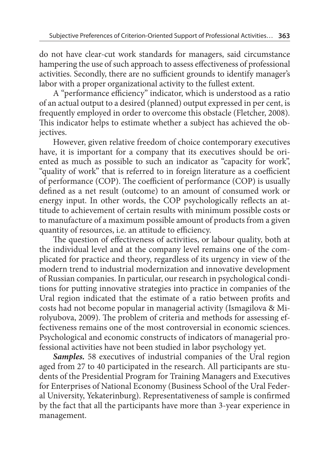do not have clear-cut work standards for managers, said circumstance hampering the use of such approach to assess effectiveness of professional activities. Secondly, there are no sufficient grounds to identify manager's labor with a proper organizational activity to the fullest extent.

A "performance efficiency" indicator, which is understood as a ratio of an actual output to a desired (planned) output expressed in per cent, is frequently employed in order to overcome this obstacle (Fletcher, 2008)*.*  This indicator helps to estimate whether a subject has achieved the objectives.

However, given relative freedom of choice contemporary executives have, it is important for a company that its executives should be oriented as much as possible to such an indicator as "capacity for work", "quality of work" that is referred to in foreign literature as a coefficient of performance (COP). The coefficient of performance (COP) is usually defined as a net result (outcome) to an amount of consumed work or energy input. In other words, the COP psychologically reflects an attitude to achievement of certain results with minimum possible costs or to manufacture of a maximum possible amount of products from a given quantity of resources, i.e. an attitude to efficiency.

The question of effectiveness of activities, or labour quality, both at the individual level and at the company level remains one of the complicated for practice and theory, regardless of its urgency in view of the modern trend to industrial modernization and innovative development of Russian companies. In particular, our research in psychological conditions for putting innovative strategies into practice in companies of the Ural region indicated that the estimate of a ratio between profits and costs had not become popular in managerial activity (Ismagilova & Mirolyubova, 2009). The problem of criteria and methods for assessing effectiveness remains one of the most controversial in economic sciences. Psychological and economic constructs of indicators of managerial professional activities have not been studied in labor psychology yet.

*Samples.* 58 executives of industrial companies of the Ural region aged from 27 to 40 participated in the research. All participants are students of the Presidential Program for Training Managers and Executives for Enterprises of National Economy (Business School of the Ural Federal University, Yekaterinburg). Representativeness of sample is confirmed by the fact that all the participants have more than 3-year experience in management.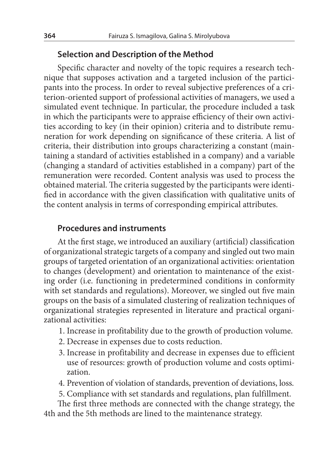## **Selection and Description of the Method**

Specific character and novelty of the topic requires a research technique that supposes activation and a targeted inclusion of the participants into the process. In order to reveal subjective preferences of a criterion-oriented support of professional activities of managers, we used a simulated event technique. In particular, the procedure included a task in which the participants were to appraise efficiency of their own activities according to key (in their opinion) criteria and to distribute remuneration for work depending on significance of these criteria. A list of criteria, their distribution into groups characterizing a constant (maintaining a standard of activities established in a company) and a variable (changing a standard of activities established in a company) part of the remuneration were recorded. Content analysis was used to process the obtained material. The criteria suggested by the participants were identified in accordance with the given classification with qualitative units of the content analysis in terms of corresponding empirical attributes.

#### **Procedures and instruments**

At the first stage, we introduced an auxiliary (artificial) classification of organizational strategic targets of a company and singled out two main groups of targeted orientation of an organizational activities: orientation to changes (development) and orientation to maintenance of the existing order (i.e. functioning in predetermined conditions in conformity with set standards and regulations). Moreover, we singled out five main groups on the basis of a simulated clustering of realization techniques of organizational strategies represented in literature and practical organizational activities:

- 1. Increase in profitability due to the growth of production volume.
- 2. Decrease in expenses due to costs reduction.
- 3. Increase in profitability and decrease in expenses due to efficient use of resources: growth of production volume and costs optimization.
- 4. Prevention of violation of standards, prevention of deviations, loss.
- 5. Compliance with set standards and regulations, plan fulfillment.

The first three methods are connected with the change strategy, the 4th and the 5th methods are lined to the maintenance strategy.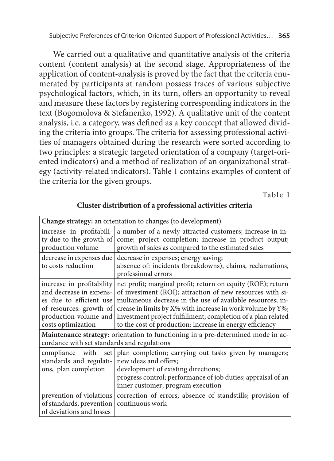We carried out a qualitative and quantitative analysis of the criteria content (content analysis) at the second stage. Appropriateness of the application of content-analysis is proved by the fact that the criteria enumerated by participants at random possess traces of various subjective psychological factors, which, in its turn, offers an opportunity to reveal and measure these factors by registering corresponding indicators in the text (Bogomolova & Stefanenko, 1992). A qualitative unit of the content analysis, i.e. a category, was defined as a key concept that allowed dividing the criteria into groups. The criteria for assessing professional activities of managers obtained during the research were sorted according to two principles: a strategic targeted orientation of a company (target-oriented indicators) and a method of realization of an organizational strategy (activity-related indicators). Table 1 contains examples of content of the criteria for the given groups.

Table 1

| Change strategy: an orientation to changes (to development)                                                                     |                                                                                                                                                                                                                                                                                                                                                                                                                                      |  |  |  |
|---------------------------------------------------------------------------------------------------------------------------------|--------------------------------------------------------------------------------------------------------------------------------------------------------------------------------------------------------------------------------------------------------------------------------------------------------------------------------------------------------------------------------------------------------------------------------------|--|--|--|
| increase in profitabili-<br>ty due to the growth of<br>production volume                                                        | a number of a newly attracted customers; increase in in-<br>come; project completion; increase in product output;<br>growth of sales as compared to the estimated sales                                                                                                                                                                                                                                                              |  |  |  |
| decrease in expenses due<br>to costs reduction                                                                                  | decrease in expenses; energy saving;<br>absence of: incidents (breakdowns), claims, reclamations,<br>professional errors                                                                                                                                                                                                                                                                                                             |  |  |  |
| increase in profitability<br>and decrease in expens-<br>es due to efficient use<br>costs optimization                           | net profit; marginal profit; return on equity (ROE); return<br>of investment (ROI); attraction of new resources with si-<br>multaneous decrease in the use of available resources; in-<br>of resources: growth of crease in limits by X% with increase in work volume by $Y\%$ ;<br>production volume and   investment project fulfillment; completion of a plan related<br>to the cost of production; increase in energy efficiency |  |  |  |
| Maintenance strategy: orientation to functioning in a pre-determined mode in ac-<br>cordance with set standards and regulations |                                                                                                                                                                                                                                                                                                                                                                                                                                      |  |  |  |
| standards and regulati- new ideas and offers;<br>ons, plan completion                                                           | compliance with set   plan completion; carrying out tasks given by managers;<br>development of existing directions;<br>progress control; performance of job duties; appraisal of an<br>inner customer; program execution                                                                                                                                                                                                             |  |  |  |
| prevention of violations<br>of standards, prevention<br>of deviations and losses                                                | correction of errors; absence of standstills; provision of<br>continuous work                                                                                                                                                                                                                                                                                                                                                        |  |  |  |

### **Cluster distribution of a professional activities criteria**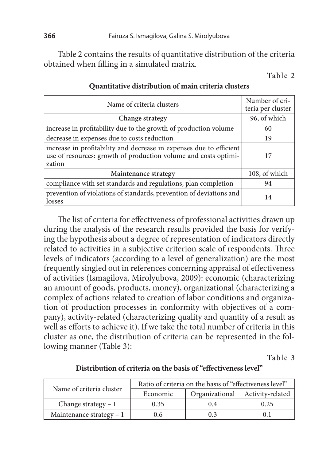Table 2 contains the results of quantitative distribution of the criteria obtained when filling in a simulated matrix.

Table 2

| Name of criteria clusters                                                                                                                        | Number of cri-<br>teria per cluster |
|--------------------------------------------------------------------------------------------------------------------------------------------------|-------------------------------------|
| Change strategy                                                                                                                                  | 96, of which                        |
| increase in profitability due to the growth of production volume                                                                                 | 60                                  |
| decrease in expenses due to costs reduction                                                                                                      | 19                                  |
| increase in profitability and decrease in expenses due to efficient<br>use of resources: growth of production volume and costs optimi-<br>zation | 17                                  |
| Maintenance strategy                                                                                                                             | 108, of which                       |
| compliance with set standards and regulations, plan completion                                                                                   | 94                                  |
| prevention of violations of standards, prevention of deviations and<br>losses                                                                    | 14                                  |

#### **Quantitative distribution of main criteria clusters**

The list of criteria for effectiveness of professional activities drawn up during the analysis of the research results provided the basis for verifying the hypothesis about a degree of representation of indicators directly related to activities in a subjective criterion scale of respondents. Three levels of indicators (according to a level of generalization) are the most frequently singled out in references concerning appraisal of effectiveness of activities (Ismagilova, Mirolyubova, 2009): economic (characterizing an amount of goods, products, money), organizational (characterizing a complex of actions related to creation of labor conditions and organization of production processes in conformity with objectives of a company), activity-related (characterizing quality and quantity of a result as well as efforts to achieve it). If we take the total number of criteria in this cluster as one, the distribution of criteria can be represented in the following manner (Table 3):

Table 3

| Name of criteria cluster  | Ratio of criteria on the basis of "effectiveness level" |                |                  |  |
|---------------------------|---------------------------------------------------------|----------------|------------------|--|
|                           | Economic                                                | Organizational | Activity-related |  |
| Change strategy $-1$      | 0.35                                                    | 0.4            | 0.25             |  |
| Maintenance strategy $-1$ | 0.6                                                     | 0.3            | $( )$ . 1        |  |

**Distribution of criteria on the basis of "effectiveness level"**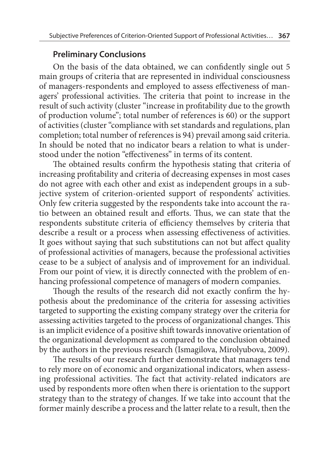## **Preliminary Conclusions**

On the basis of the data obtained, we can confidently single out 5 main groups of criteria that are represented in individual consciousness of managers-respondents and employed to assess effectiveness of managers' professional activities. The criteria that point to increase in the result of such activity (cluster "increase in profitability due to the growth of production volume"; total number of references is 60) or the support of activities (cluster "compliance with set standards and regulations, plan completion; total number of references is 94) prevail among said criteria. In should be noted that no indicator bears a relation to what is understood under the notion "effectiveness" in terms of its content.

The obtained results confirm the hypothesis stating that criteria of increasing profitability and criteria of decreasing expenses in most cases do not agree with each other and exist as independent groups in a subjective system of criterion-oriented support of respondents' activities. Only few criteria suggested by the respondents take into account the ratio between an obtained result and efforts. Thus, we can state that the respondents substitute criteria of efficiency themselves by criteria that describe a result or a process when assessing effectiveness of activities. It goes without saying that such substitutions can not but affect quality of professional activities of managers, because the professional activities cease to be a subject of analysis and of improvement for an individual. From our point of view, it is directly connected with the problem of enhancing professional competence of managers of modern companies.

Though the results of the research did not exactly confirm the hypothesis about the predominance of the criteria for assessing activities targeted to supporting the existing company strategy over the criteria for assessing activities targeted to the process of organizational changes. This is an implicit evidence of a positive shift towards innovative orientation of the organizational development as compared to the conclusion obtained by the authors in the previous research (Ismagilova, Mirolyubova, 2009).

The results of our research further demonstrate that managers tend to rely more on of economic and organizational indicators, when assessing professional activities. The fact that activity-related indicators are used by respondents more often when there is orientation to the support strategy than to the strategy of changes. If we take into account that the former mainly describe a process and the latter relate to a result, then the